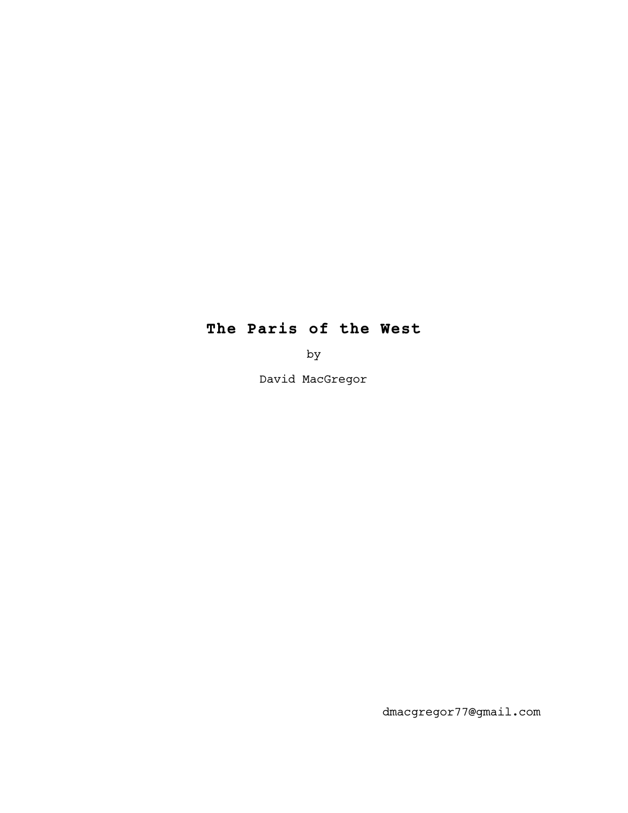# **The Paris of the West**

by

David MacGregor

dmacgregor77@gmail.com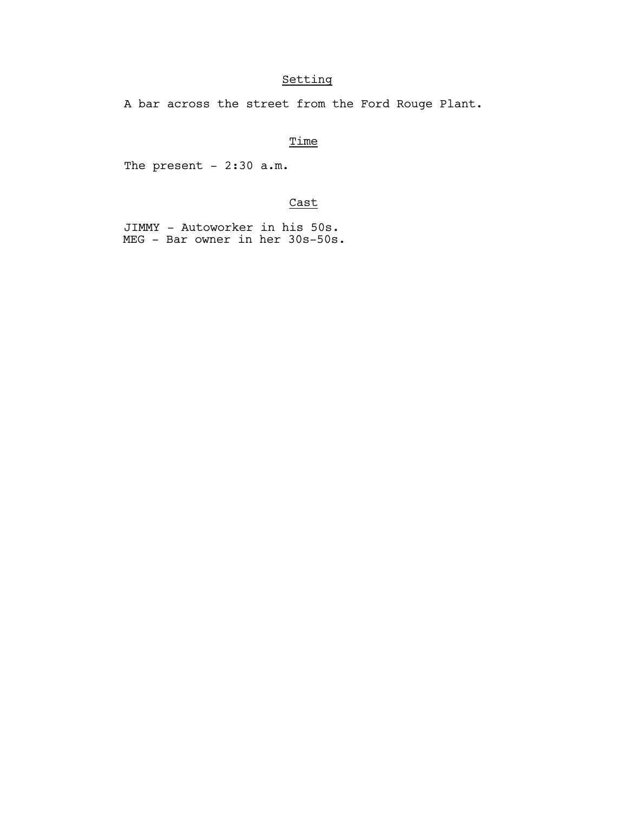# Setting

A bar across the street from the Ford Rouge Plant.

# **Time**

The present -  $2:30$  a.m.

# Cast

 JIMMY - Autoworker in his 50s. MEG - Bar owner in her 30s-50s.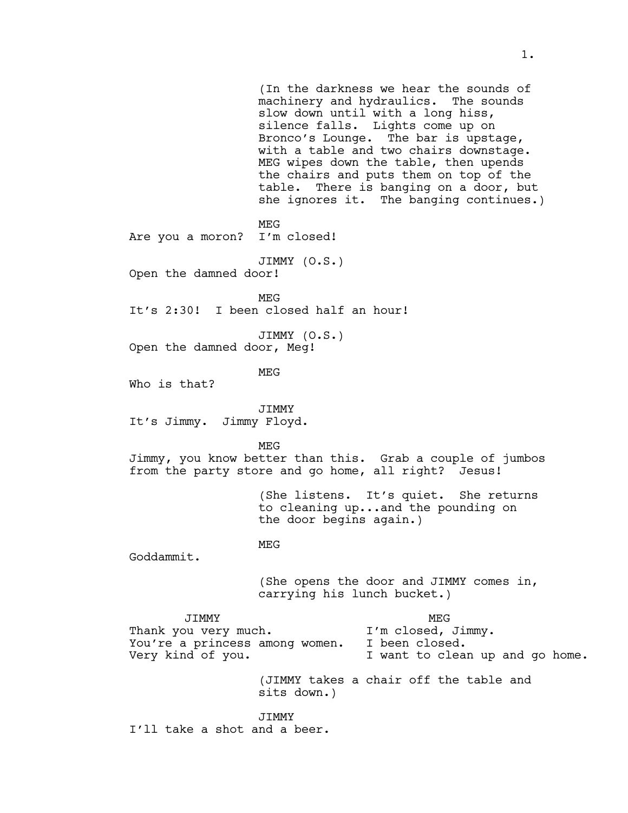(In the darkness we hear the sounds of machinery and hydraulics. The sounds slow down until with a long hiss, silence falls. Lights come up on Bronco's Lounge. The bar is upstage, with a table and two chairs downstage. MEG wipes down the table, then upends the chairs and puts them on top of the table. There is banging on a door, but she ignores it. The banging continues.) MEG<br>I'm closed! Are you a moron? JIMMY (O.S.) Open the damned door! MEG It's 2:30! I been closed half an hour! JIMMY (O.S.) Open the damned door, Meg! MEG Who is that? JIMMY It's Jimmy. Jimmy Floyd. MEG Jimmy, you know better than this. Grab a couple of jumbos from the party store and go home, all right? Jesus! (She listens. It's quiet. She returns to cleaning up...and the pounding on the door begins again.) MEG Goddammit. (She opens the door and JIMMY comes in, carrying his lunch bucket.) JIMMY MEG Thank you very much. I'm closed, Jimmy. You're a princess among women. I been closed. Very kind of you. I want to clean up and go home. (JIMMY takes a chair off the table and sits down.) JIMMY I'll take a shot and a beer.

1.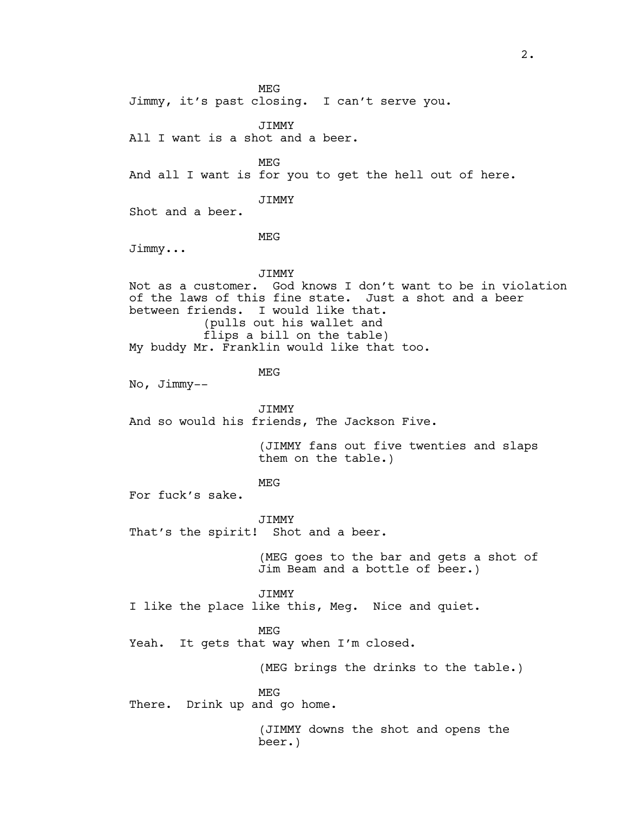MEG Jimmy, it's past closing. I can't serve you. JIMMY All I want is a shot and a beer. MEG And all I want is for you to get the hell out of here. JIMMY Shot and a beer. MEG Jimmy... JIMMY Not as a customer. God knows I don't want to be in violation of the laws of this fine state. Just a shot and a beer between friends. I would like that. (pulls out his wallet and flips a bill on the table) My buddy Mr. Franklin would like that too. MEG No, Jimmy-- JIMMY And so would his friends, The Jackson Five. (JIMMY fans out five twenties and slaps them on the table.) MEG For fuck's sake. JIMMY That's the spirit! Shot and a beer. (MEG goes to the bar and gets a shot of Jim Beam and a bottle of beer.) JIMMY I like the place like this, Meg. Nice and quiet. MEG Yeah. It gets that way when I'm closed. (MEG brings the drinks to the table.) MEG There. Drink up and go home. (JIMMY downs the shot and opens the beer.)

2.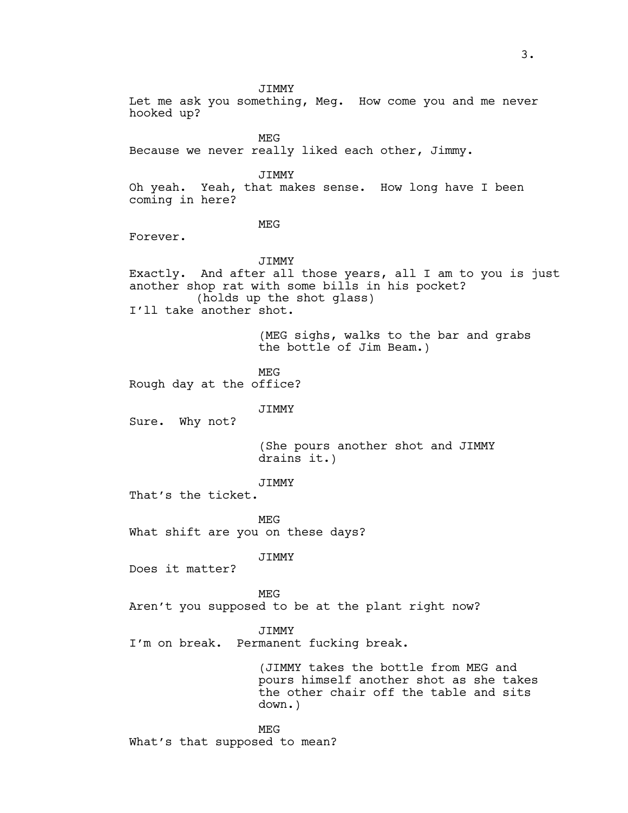JIMMY Let me ask you something, Meg. How come you and me never hooked up? MEG Because we never really liked each other, Jimmy. JIMMY Oh yeah. Yeah, that makes sense. How long have I been coming in here? MEG Forever. JIMMY Exactly. And after all those years, all I am to you is just another shop rat with some bills in his pocket? (holds up the shot glass) I'll take another shot. (MEG sighs, walks to the bar and grabs the bottle of Jim Beam.) MEG Rough day at the office? JIMMY Sure. Why not? (She pours another shot and JIMMY drains it.) **JTMMY** That's the ticket. MEG What shift are you on these days? JIMMY Does it matter? MEG Aren't you supposed to be at the plant right now? JIMMY I'm on break. Permanent fucking break. (JIMMY takes the bottle from MEG and pours himself another shot as she takes the other chair off the table and sits down.) MEG What's that supposed to mean?

3.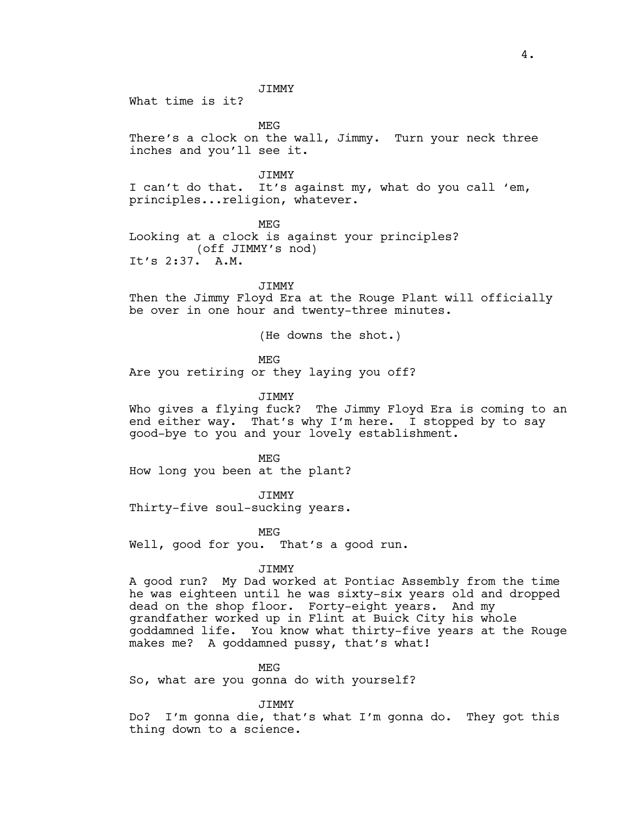JIMMY

What time is it?

MEG

There's a clock on the wall, Jimmy. Turn your neck three inches and you'll see it.

JIMMY I can't do that. It's against my, what do you call 'em, principles...religion, whatever.

MEG Looking at a clock is against your principles? (off JIMMY's nod) It's 2:37. A.M.

**JTMMY** 

Then the Jimmy Floyd Era at the Rouge Plant will officially be over in one hour and twenty-three minutes.

(He downs the shot.)

MEG

Are you retiring or they laying you off?

JIMMY

Who gives a flying fuck? The Jimmy Floyd Era is coming to an end either way. That's why I'm here. I stopped by to say good-bye to you and your lovely establishment.

MEG How long you been at the plant?

JIMMY Thirty-five soul-sucking years.

MEG

Well, good for you. That's a good run.

JIMMY

A good run? My Dad worked at Pontiac Assembly from the time he was eighteen until he was sixty-six years old and dropped dead on the shop floor. Forty-eight years. And my grandfather worked up in Flint at Buick City his whole goddamned life. You know what thirty-five years at the Rouge makes me? A goddamned pussy, that's what!

MEG

So, what are you gonna do with yourself?

JIMMY

Do? I'm gonna die, that's what I'm gonna do. They got this thing down to a science.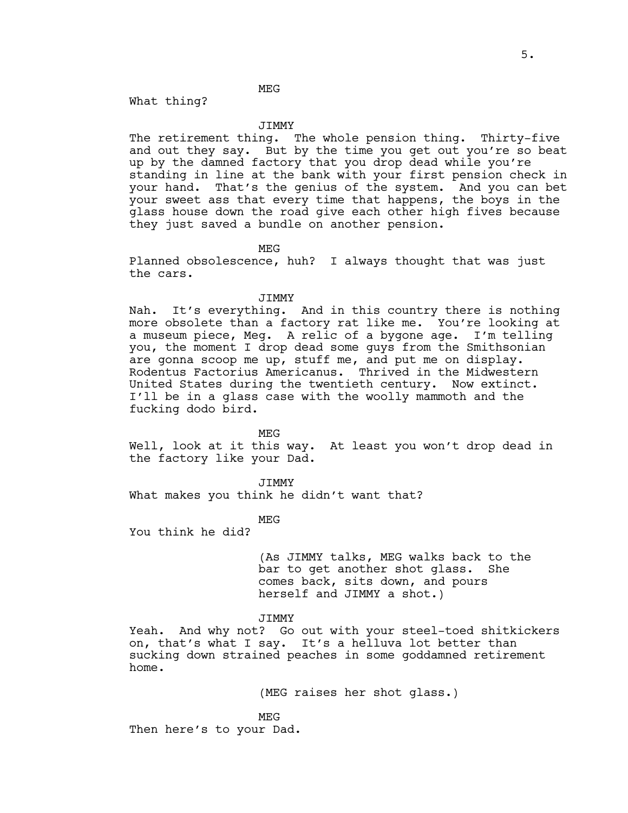# MEG

What thing?

## JIMMY

The retirement thing. The whole pension thing. Thirty-five and out they say. But by the time you get out you're so beat up by the damned factory that you drop dead while you're standing in line at the bank with your first pension check in your hand. That's the genius of the system. And you can bet your sweet ass that every time that happens, the boys in the glass house down the road give each other high fives because they just saved a bundle on another pension.

MEG

Planned obsolescence, huh? I always thought that was just the cars.

### JIMMY

Nah. It's everything. And in this country there is nothing more obsolete than a factory rat like me. You're looking at a museum piece, Meg. A relic of a bygone age. I'm telling you, the moment I drop dead some guys from the Smithsonian are gonna scoop me up, stuff me, and put me on display. Rodentus Factorius Americanus. Thrived in the Midwestern United States during the twentieth century. Now extinct. I'll be in a glass case with the woolly mammoth and the fucking dodo bird.

MEG

Well, look at it this way. At least you won't drop dead in the factory like your Dad.

**JTMMY** What makes you think he didn't want that?

#### MEG

You think he did?

(As JIMMY talks, MEG walks back to the bar to get another shot glass. She comes back, sits down, and pours herself and JIMMY a shot.)

**JTMMY** 

Yeah. And why not? Go out with your steel-toed shitkickers on, that's what I say. It's a helluva lot better than sucking down strained peaches in some goddamned retirement home.

(MEG raises her shot glass.)

MEG Then here's to your Dad.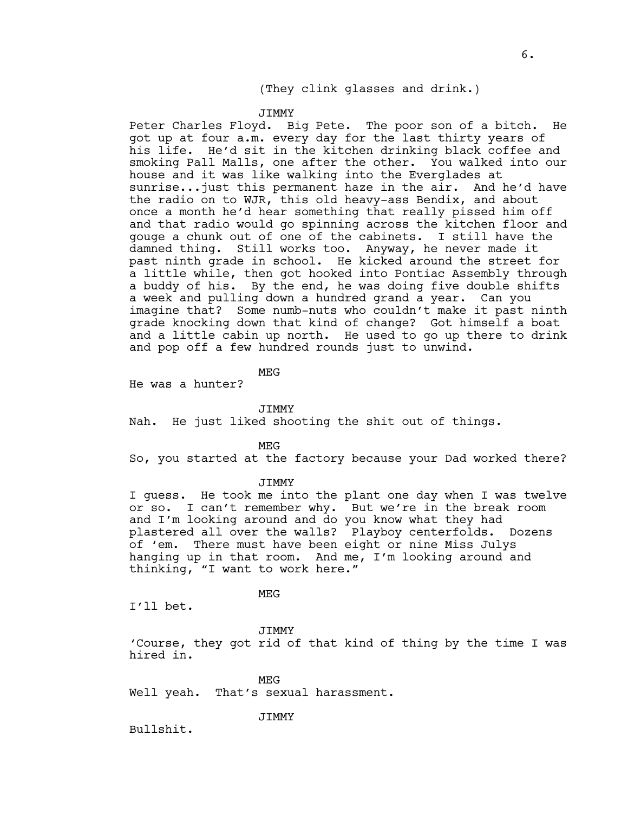# (They clink glasses and drink.)

#### JIMMY

Peter Charles Floyd. Big Pete. The poor son of a bitch. He got up at four a.m. every day for the last thirty years of his life. He'd sit in the kitchen drinking black coffee and smoking Pall Malls, one after the other. You walked into our house and it was like walking into the Everglades at sunrise...just this permanent haze in the air. And he'd have the radio on to WJR, this old heavy-ass Bendix, and about once a month he'd hear something that really pissed him off and that radio would go spinning across the kitchen floor and gouge a chunk out of one of the cabinets. I still have the damned thing. Still works too. Anyway, he never made it past ninth grade in school. He kicked around the street for a little while, then got hooked into Pontiac Assembly through a buddy of his. By the end, he was doing five double shifts a week and pulling down a hundred grand a year. Can you imagine that? Some numb-nuts who couldn't make it past ninth grade knocking down that kind of change? Got himself a boat and a little cabin up north. He used to go up there to drink and pop off a few hundred rounds just to unwind.

MEG

He was a hunter?

**JTMMY** 

Nah. He just liked shooting the shit out of things.

MEG

So, you started at the factory because your Dad worked there?

**JTMMY** 

I guess. He took me into the plant one day when I was twelve or so. I can't remember why. But we're in the break room and I'm looking around and do you know what they had plastered all over the walls? Playboy centerfolds. Dozens of 'em. There must have been eight or nine Miss Julys hanging up in that room. And me, I'm looking around and thinking, "I want to work here."

MEG

I'll bet.

JIMMY

'Course, they got rid of that kind of thing by the time I was hired in.

MEG Well yeah. That's sexual harassment.

JIMMY

Bullshit.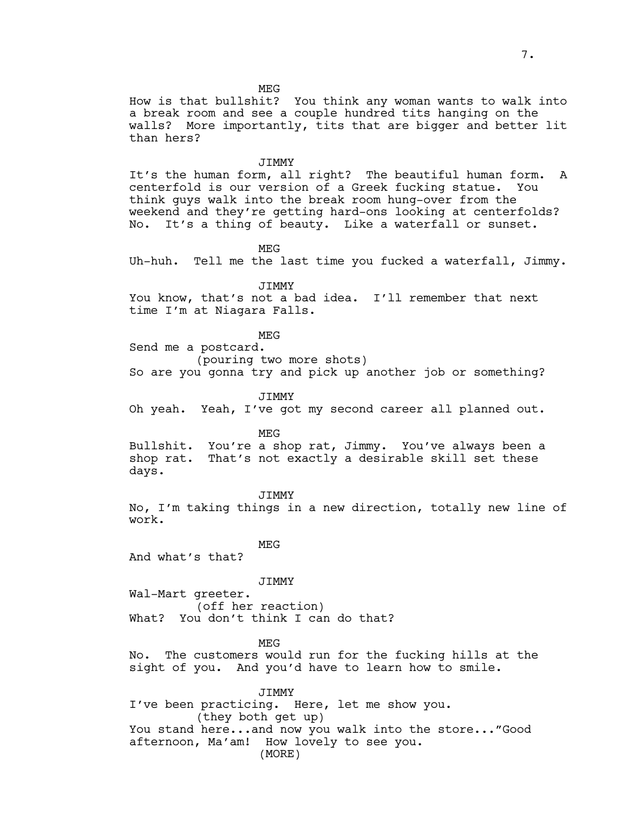How is that bullshit? You think any woman wants to walk into a break room and see a couple hundred tits hanging on the walls? More importantly, tits that are bigger and better lit than hers?

#### JIMMY

It's the human form, all right? The beautiful human form. A centerfold is our version of a Greek fucking statue. You think guys walk into the break room hung-over from the weekend and they're getting hard-ons looking at centerfolds? No. It's a thing of beauty. Like a waterfall or sunset.

MEG

Uh-huh. Tell me the last time you fucked a waterfall, Jimmy.

JIMMY

You know, that's not a bad idea. I'll remember that next time I'm at Niagara Falls.

#### MEG

Send me a postcard.

(pouring two more shots)

So are you gonna try and pick up another job or something?

# JIMMY

Oh yeah. Yeah, I've got my second career all planned out.

MEG

Bullshit. You're a shop rat, Jimmy. You've always been a shop rat. That's not exactly a desirable skill set these days.

JIMMY No, I'm taking things in a new direction, totally new line of work.

MEG

And what's that?

#### JIMMY

Wal-Mart greeter. (off her reaction) What? You don't think I can do that?

MEG

No. The customers would run for the fucking hills at the sight of you. And you'd have to learn how to smile.

JIMMY I've been practicing. Here, let me show you. (they both get up) You stand here...and now you walk into the store..."Good afternoon, Ma'am! How lovely to see you. (MORE)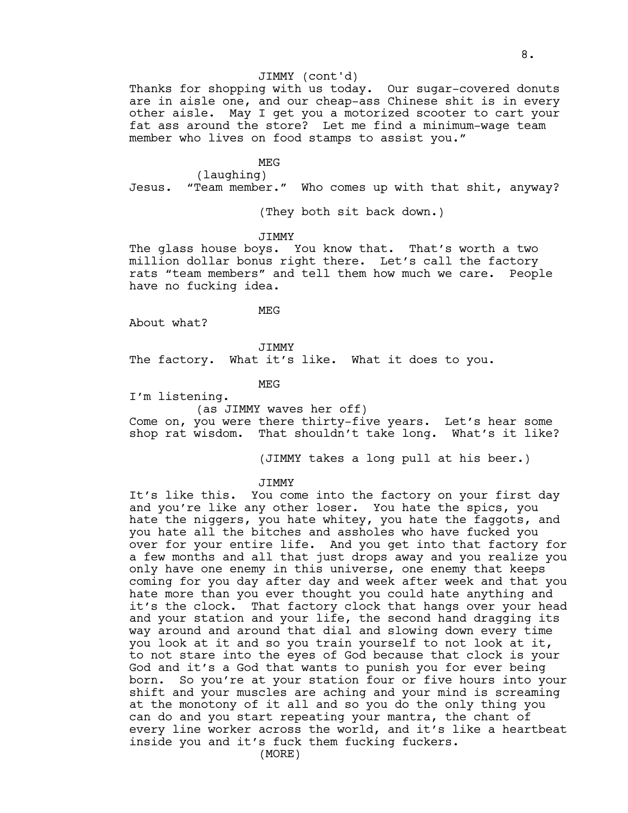# JIMMY (cont'd)

Thanks for shopping with us today. Our sugar-covered donuts are in aisle one, and our cheap-ass Chinese shit is in every other aisle. May I get you a motorized scooter to cart your fat ass around the store? Let me find a minimum-wage team member who lives on food stamps to assist you."

### MEG

(laughing)

Jesus. "Team member." Who comes up with that shit, anyway?

(They both sit back down.)

JIMMY

The glass house boys. You know that. That's worth a two million dollar bonus right there. Let's call the factory rats "team members" and tell them how much we care. People have no fucking idea.

MEG

About what?

JIMMY

The factory. What it's like. What it does to you.

MEG

I'm listening.

(as JIMMY waves her off)

Come on, you were there thirty-five years. Let's hear some shop rat wisdom. That shouldn't take long. What's it like?

(JIMMY takes a long pull at his beer.)

### **JTMMY**

It's like this. You come into the factory on your first day and you're like any other loser. You hate the spics, you hate the niggers, you hate whitey, you hate the faggots, and you hate all the bitches and assholes who have fucked you over for your entire life. And you get into that factory for a few months and all that just drops away and you realize you only have one enemy in this universe, one enemy that keeps coming for you day after day and week after week and that you hate more than you ever thought you could hate anything and it's the clock. That factory clock that hangs over your head and your station and your life, the second hand dragging its way around and around that dial and slowing down every time you look at it and so you train yourself to not look at it, to not stare into the eyes of God because that clock is your God and it's a God that wants to punish you for ever being born. So you're at your station four or five hours into your shift and your muscles are aching and your mind is screaming at the monotony of it all and so you do the only thing you can do and you start repeating your mantra, the chant of every line worker across the world, and it's like a heartbeat inside you and it's fuck them fucking fuckers.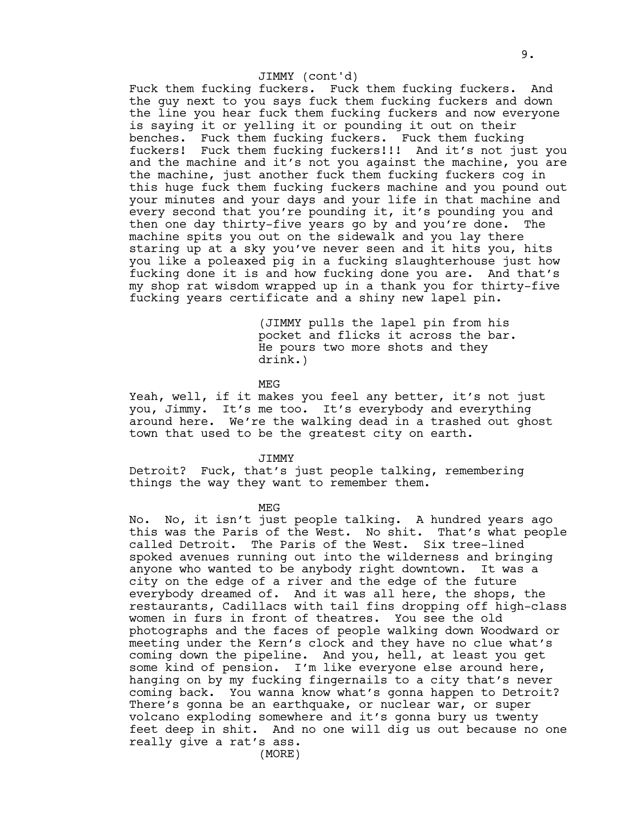# JIMMY (cont'd)

Fuck them fucking fuckers. Fuck them fucking fuckers. And the guy next to you says fuck them fucking fuckers and down the line you hear fuck them fucking fuckers and now everyone is saying it or yelling it or pounding it out on their benches. Fuck them fucking fuckers. Fuck them fucking fuckers! Fuck them fucking fuckers!!! And it's not just you and the machine and it's not you against the machine, you are the machine, just another fuck them fucking fuckers cog in this huge fuck them fucking fuckers machine and you pound out your minutes and your days and your life in that machine and every second that you're pounding it, it's pounding you and then one day thirty-five years go by and you're done. The machine spits you out on the sidewalk and you lay there staring up at a sky you've never seen and it hits you, hits you like a poleaxed pig in a fucking slaughterhouse just how fucking done it is and how fucking done you are. And that's my shop rat wisdom wrapped up in a thank you for thirty-five fucking years certificate and a shiny new lapel pin.

> (JIMMY pulls the lapel pin from his pocket and flicks it across the bar. He pours two more shots and they drink.)

MEG

Yeah, well, if it makes you feel any better, it's not just you, Jimmy. It's me too. It's everybody and everything around here. We're the walking dead in a trashed out ghost town that used to be the greatest city on earth.

JIMMY

Detroit? Fuck, that's just people talking, remembering things the way they want to remember them.

MEG

No. No, it isn't just people talking. A hundred years ago this was the Paris of the West. No shit. That's what people called Detroit. The Paris of the West. Six tree-lined spoked avenues running out into the wilderness and bringing anyone who wanted to be anybody right downtown. It was a city on the edge of a river and the edge of the future everybody dreamed of. And it was all here, the shops, the restaurants, Cadillacs with tail fins dropping off high-class women in furs in front of theatres. You see the old photographs and the faces of people walking down Woodward or meeting under the Kern's clock and they have no clue what's coming down the pipeline. And you, hell, at least you get some kind of pension. I'm like everyone else around here, hanging on by my fucking fingernails to a city that's never coming back. You wanna know what's gonna happen to Detroit? There's gonna be an earthquake, or nuclear war, or super volcano exploding somewhere and it's gonna bury us twenty feet deep in shit. And no one will dig us out because no one really give a rat's ass.